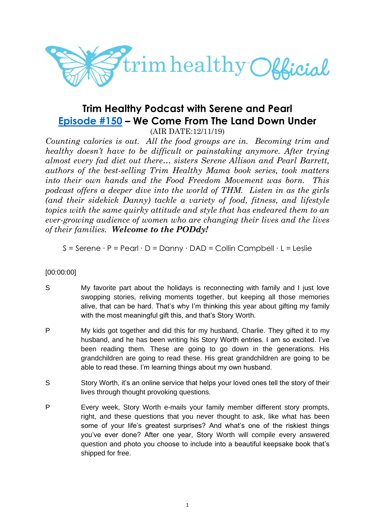

# **Trim Healthy Podcast with Serene and Pearl [Episode #150](https://cms.megaphone.fm/channel/trimhealthypodcast?selected=ADL3182974421) – We Come From The Land Down Under**

(AIR DATE:12/11/19)

*Counting calories is out. All the food groups are in. Becoming trim and healthy doesn't have to be difficult or painstaking anymore. After trying almost every fad diet out there… sisters Serene Allison and Pearl Barrett, authors of the best-selling Trim Healthy Mama book series, took matters into their own hands and the Food Freedom Movement was born. This podcast offers a deeper dive into the world of THM. Listen in as the girls (and their sidekick Danny) tackle a variety of food, fitness, and lifestyle topics with the same quirky attitude and style that has endeared them to an ever-growing audience of women who are changing their lives and the lives of their families. Welcome to the PODdy!*

S = Serene ∙ P = Pearl ∙ D = Danny ∙ DAD = Collin Campbell ∙ L = Leslie

# [00:00:00]

- S My favorite part about the holidays is reconnecting with family and I just love swopping stories, reliving moments together, but keeping all those memories alive, that can be hard. That's why I'm thinking this year about gifting my family with the most meaningful gift this, and that's Story Worth.
- P My kids got together and did this for my husband, Charlie. They gifted it to my husband, and he has been writing his Story Worth entries. I am so excited. I've been reading them. These are going to go down in the generations. His grandchildren are going to read these. His great grandchildren are going to be able to read these. I'm learning things about my own husband.
- S Story Worth, it's an online service that helps your loved ones tell the story of their lives through thought provoking questions.
- P Every week, Story Worth e-mails your family member different story prompts, right, and these questions that you never thought to ask, like what has been some of your life's greatest surprises? And what's one of the riskiest things you've ever done? After one year, Story Worth will compile every answered question and photo you choose to include into a beautiful keepsake book that's shipped for free.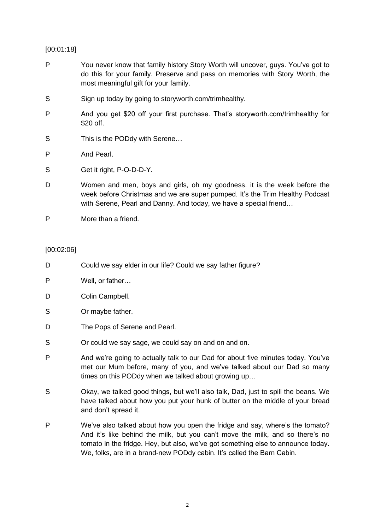## [00:01:18]

- P You never know that family history Story Worth will uncover, guys. You've got to do this for your family. Preserve and pass on memories with Story Worth, the most meaningful gift for your family.
- S Sign up today by going to storyworth.com/trimhealthy.
- P And you get \$20 off your first purchase. That's storyworth.com/trimhealthy for \$20 off.
- S This is the PODdy with Serene...
- P And Pearl.
- S Get it right, P-O-D-D-Y.
- D Women and men, boys and girls, oh my goodness. it is the week before the week before Christmas and we are super pumped. It's the Trim Healthy Podcast with Serene, Pearl and Danny. And today, we have a special friend…
- P More than a friend.

## [00:02:06]

- D Could we say elder in our life? Could we say father figure?
- P Well, or father…
- D Colin Campbell.
- S Or maybe father.
- D The Pops of Serene and Pearl.
- S **S** Or could we say sage, we could say on and on and on.
- P And we're going to actually talk to our Dad for about five minutes today. You've met our Mum before, many of you, and we've talked about our Dad so many times on this PODdy when we talked about growing up…
- S Okay, we talked good things, but we'll also talk, Dad, just to spill the beans. We have talked about how you put your hunk of butter on the middle of your bread and don't spread it.
- P We've also talked about how you open the fridge and say, where's the tomato? And it's like behind the milk, but you can't move the milk, and so there's no tomato in the fridge. Hey, but also, we've got something else to announce today. We, folks, are in a brand-new PODdy cabin. It's called the Barn Cabin.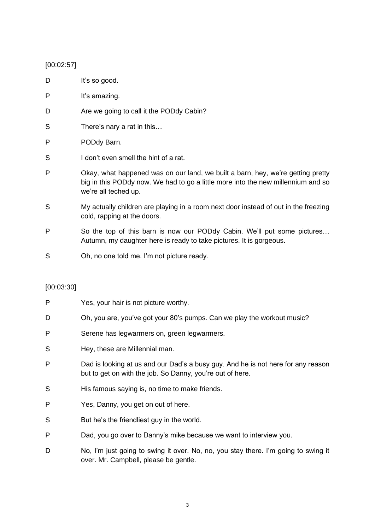## [00:02:57]

- D It's so good.
- P It's amazing.
- D Are we going to call it the PODdy Cabin?
- S There's nary a rat in this...
- P PODdy Barn.
- S I don't even smell the hint of a rat.
- P Okay, what happened was on our land, we built a barn, hey, we're getting pretty big in this PODdy now. We had to go a little more into the new millennium and so we're all teched up.
- S My actually children are playing in a room next door instead of out in the freezing cold, rapping at the doors.
- P So the top of this barn is now our PODdy Cabin. We'll put some pictures… Autumn, my daughter here is ready to take pictures. It is gorgeous.
- S Oh, no one told me. I'm not picture ready.

## [00:03:30]

- P Yes, your hair is not picture worthy. D Oh, you are, you've got your 80's pumps. Can we play the workout music? P Serene has legwarmers on, green legwarmers. S Hey, these are Millennial man. P Dad is looking at us and our Dad's a busy guy. And he is not here for any reason but to get on with the job. So Danny, you're out of here.
- S His famous saying is, no time to make friends.
- P Yes, Danny, you get on out of here.
- S But he's the friendliest guy in the world.
- P Dad, you go over to Danny's mike because we want to interview you.
- D No, I'm just going to swing it over. No, no, you stay there. I'm going to swing it over. Mr. Campbell, please be gentle.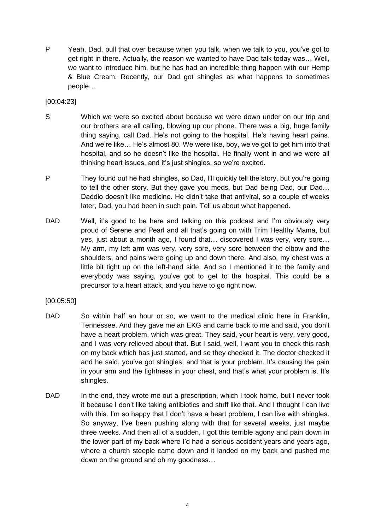P Yeah, Dad, pull that over because when you talk, when we talk to you, you've got to get right in there. Actually, the reason we wanted to have Dad talk today was… Well, we want to introduce him, but he has had an incredible thing happen with our Hemp & Blue Cream. Recently, our Dad got shingles as what happens to sometimes people…

[00:04:23]

- S Which we were so excited about because we were down under on our trip and our brothers are all calling, blowing up our phone. There was a big, huge family thing saying, call Dad. He's not going to the hospital. He's having heart pains. And we're like… He's almost 80. We were like, boy, we've got to get him into that hospital, and so he doesn't like the hospital. He finally went in and we were all thinking heart issues, and it's just shingles, so we're excited.
- P They found out he had shingles, so Dad, I'll quickly tell the story, but you're going to tell the other story. But they gave you meds, but Dad being Dad, our Dad… Daddio doesn't like medicine. He didn't take that antiviral, so a couple of weeks later, Dad, you had been in such pain. Tell us about what happened.
- DAD Well, it's good to be here and talking on this podcast and I'm obviously very proud of Serene and Pearl and all that's going on with Trim Healthy Mama, but yes, just about a month ago, I found that… discovered I was very, very sore… My arm, my left arm was very, very sore, very sore between the elbow and the shoulders, and pains were going up and down there. And also, my chest was a little bit tight up on the left-hand side. And so I mentioned it to the family and everybody was saying, you've got to get to the hospital. This could be a precursor to a heart attack, and you have to go right now.

## [00:05:50]

- DAD So within half an hour or so, we went to the medical clinic here in Franklin, Tennessee. And they gave me an EKG and came back to me and said, you don't have a heart problem, which was great. They said, your heart is very, very good, and I was very relieved about that. But I said, well, I want you to check this rash on my back which has just started, and so they checked it. The doctor checked it and he said, you've got shingles, and that is your problem. It's causing the pain in your arm and the tightness in your chest, and that's what your problem is. It's shingles.
- DAD In the end, they wrote me out a prescription, which I took home, but I never took it because I don't like taking antibiotics and stuff like that. And I thought I can live with this. I'm so happy that I don't have a heart problem, I can live with shingles. So anyway, I've been pushing along with that for several weeks, just maybe three weeks. And then all of a sudden, I got this terrible agony and pain down in the lower part of my back where I'd had a serious accident years and years ago, where a church steeple came down and it landed on my back and pushed me down on the ground and oh my goodness…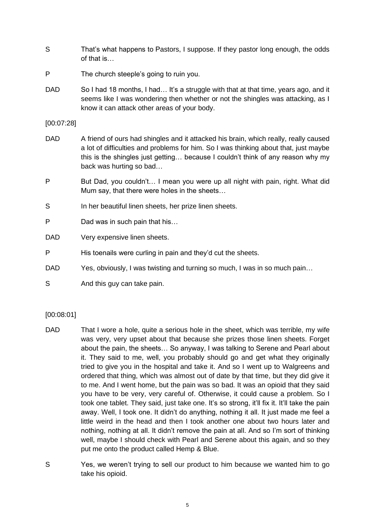- S That's what happens to Pastors, I suppose. If they pastor long enough, the odds of that is…
- P The church steeple's going to ruin you.
- DAD So I had 18 months, I had... It's a struggle with that at that time, years ago, and it seems like I was wondering then whether or not the shingles was attacking, as I know it can attack other areas of your body.

[00:07:28]

- DAD A friend of ours had shingles and it attacked his brain, which really, really caused a lot of difficulties and problems for him. So I was thinking about that, just maybe this is the shingles just getting… because I couldn't think of any reason why my back was hurting so bad…
- P But Dad, you couldn't... I mean you were up all night with pain, right. What did Mum say, that there were holes in the sheets…
- S In her beautiful linen sheets, her prize linen sheets.
- P Dad was in such pain that his...
- DAD Very expensive linen sheets.
- P His toenails were curling in pain and they'd cut the sheets.
- DAD Yes, obviously, I was twisting and turning so much, I was in so much pain...
- S And this guy can take pain.

## [00:08:01]

- DAD That I wore a hole, quite a serious hole in the sheet, which was terrible, my wife was very, very upset about that because she prizes those linen sheets. Forget about the pain, the sheets… So anyway, I was talking to Serene and Pearl about it. They said to me, well, you probably should go and get what they originally tried to give you in the hospital and take it. And so I went up to Walgreens and ordered that thing, which was almost out of date by that time, but they did give it to me. And I went home, but the pain was so bad. It was an opioid that they said you have to be very, very careful of. Otherwise, it could cause a problem. So I took one tablet. They said, just take one. It's so strong, it'll fix it. It'll take the pain away. Well, I took one. It didn't do anything, nothing it all. It just made me feel a little weird in the head and then I took another one about two hours later and nothing, nothing at all. It didn't remove the pain at all. And so I'm sort of thinking well, maybe I should check with Pearl and Serene about this again, and so they put me onto the product called Hemp & Blue.
- S Yes, we weren't trying to sell our product to him because we wanted him to go take his opioid.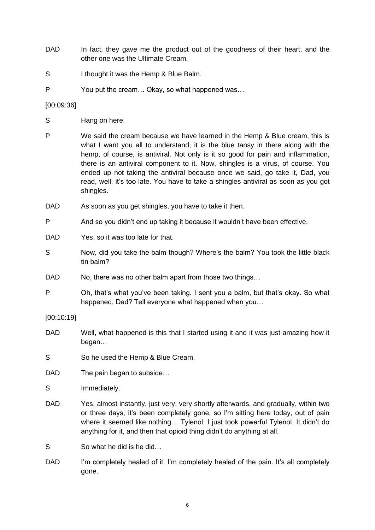- DAD In fact, they gave me the product out of the goodness of their heart, and the other one was the Ultimate Cream.
- S I thought it was the Hemp & Blue Balm.
- P You put the cream… Okay, so what happened was…

## [00:09:36]

- S Hang on here.
- P We said the cream because we have learned in the Hemp & Blue cream, this is what I want you all to understand, it is the blue tansy in there along with the hemp, of course, is antiviral. Not only is it so good for pain and inflammation, there is an antiviral component to it. Now, shingles is a virus, of course. You ended up not taking the antiviral because once we said, go take it, Dad, you read, well, it's too late. You have to take a shingles antiviral as soon as you got shingles.
- DAD As soon as you get shingles, you have to take it then.
- P And so you didn't end up taking it because it wouldn't have been effective.
- DAD Yes, so it was too late for that.
- S Now, did you take the balm though? Where's the balm? You took the little black tin balm?
- DAD No, there was no other balm apart from those two things...
- P Oh, that's what you've been taking. I sent you a balm, but that's okay. So what happened, Dad? Tell everyone what happened when you…

## [00:10:19]

- DAD Well, what happened is this that I started using it and it was just amazing how it began…
- S So he used the Hemp & Blue Cream.
- DAD The pain began to subside...
- S Immediately.
- DAD Yes, almost instantly, just very, very shortly afterwards, and gradually, within two or three days, it's been completely gone, so I'm sitting here today, out of pain where it seemed like nothing… Tylenol, I just took powerful Tylenol. It didn't do anything for it, and then that opioid thing didn't do anything at all.
- S So what he did is he did...
- DAD I'm completely healed of it. I'm completely healed of the pain. It's all completely gone.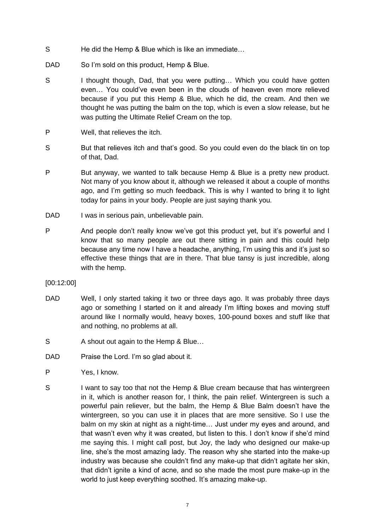- S He did the Hemp & Blue which is like an immediate...
- DAD So I'm sold on this product, Hemp & Blue.
- S I thought though, Dad, that you were putting... Which you could have gotten even… You could've even been in the clouds of heaven even more relieved because if you put this Hemp & Blue, which he did, the cream. And then we thought he was putting the balm on the top, which is even a slow release, but he was putting the Ultimate Relief Cream on the top.
- P Well, that relieves the itch.
- S But that relieves itch and that's good. So you could even do the black tin on top of that, Dad.
- P But anyway, we wanted to talk because Hemp & Blue is a pretty new product. Not many of you know about it, although we released it about a couple of months ago, and I'm getting so much feedback. This is why I wanted to bring it to light today for pains in your body. People are just saying thank you.
- DAD I was in serious pain, unbelievable pain.
- P And people don't really know we've got this product yet, but it's powerful and I know that so many people are out there sitting in pain and this could help because any time now I have a headache, anything, I'm using this and it's just so effective these things that are in there. That blue tansy is just incredible, along with the hemp.

## [00:12:00]

- DAD Well, I only started taking it two or three days ago. It was probably three days ago or something I started on it and already I'm lifting boxes and moving stuff around like I normally would, heavy boxes, 100-pound boxes and stuff like that and nothing, no problems at all.
- S A shout out again to the Hemp & Blue...
- DAD Praise the Lord. I'm so glad about it.
- P Yes, I know.
- S I want to say too that not the Hemp & Blue cream because that has wintergreen in it, which is another reason for, I think, the pain relief. Wintergreen is such a powerful pain reliever, but the balm, the Hemp & Blue Balm doesn't have the wintergreen, so you can use it in places that are more sensitive. So I use the balm on my skin at night as a night-time… Just under my eyes and around, and that wasn't even why it was created, but listen to this. I don't know if she'd mind me saying this. I might call post, but Joy, the lady who designed our make-up line, she's the most amazing lady. The reason why she started into the make-up industry was because she couldn't find any make-up that didn't agitate her skin, that didn't ignite a kind of acne, and so she made the most pure make-up in the world to just keep everything soothed. It's amazing make-up.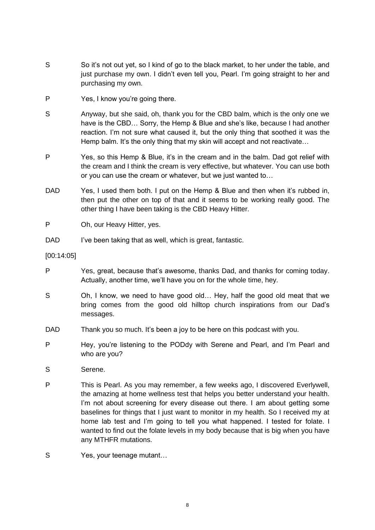- S So it's not out yet, so I kind of go to the black market, to her under the table, and just purchase my own. I didn't even tell you, Pearl. I'm going straight to her and purchasing my own.
- P Yes, I know you're going there.
- S Anyway, but she said, oh, thank you for the CBD balm, which is the only one we have is the CBD… Sorry, the Hemp & Blue and she's like, because I had another reaction. I'm not sure what caused it, but the only thing that soothed it was the Hemp balm. It's the only thing that my skin will accept and not reactivate...
- P Yes, so this Hemp & Blue, it's in the cream and in the balm. Dad got relief with the cream and I think the cream is very effective, but whatever. You can use both or you can use the cream or whatever, but we just wanted to…
- DAD Yes, I used them both. I put on the Hemp & Blue and then when it's rubbed in, then put the other on top of that and it seems to be working really good. The other thing I have been taking is the CBD Heavy Hitter.
- P Oh, our Heavy Hitter, yes.
- DAD I've been taking that as well, which is great, fantastic.
- [00:14:05]
- P Yes, great, because that's awesome, thanks Dad, and thanks for coming today. Actually, another time, we'll have you on for the whole time, hey.
- S Oh, I know, we need to have good old... Hey, half the good old meat that we bring comes from the good old hilltop church inspirations from our Dad's messages.
- DAD Thank you so much. It's been a joy to be here on this podcast with you.
- P Hey, you're listening to the PODdy with Serene and Pearl, and I'm Pearl and who are you?
- S Serene.
- P This is Pearl. As you may remember, a few weeks ago, I discovered Everlywell, the amazing at home wellness test that helps you better understand your health. I'm not about screening for every disease out there. I am about getting some baselines for things that I just want to monitor in my health. So I received my at home lab test and I'm going to tell you what happened. I tested for folate. I wanted to find out the folate levels in my body because that is big when you have any MTHFR mutations.
- S Yes, your teenage mutant...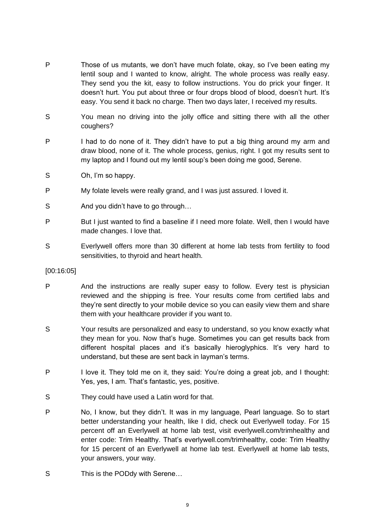- P Those of us mutants, we don't have much folate, okay, so I've been eating my lentil soup and I wanted to know, alright. The whole process was really easy. They send you the kit, easy to follow instructions. You do prick your finger. It doesn't hurt. You put about three or four drops blood of blood, doesn't hurt. It's easy. You send it back no charge. Then two days later, I received my results.
- S You mean no driving into the jolly office and sitting there with all the other coughers?
- P I had to do none of it. They didn't have to put a big thing around my arm and draw blood, none of it. The whole process, genius, right. I got my results sent to my laptop and I found out my lentil soup's been doing me good, Serene.
- S Oh, I'm so happy.
- P My folate levels were really grand, and I was just assured. I loved it.
- S And you didn't have to go through...
- P But I just wanted to find a baseline if I need more folate. Well, then I would have made changes. I love that.
- S Everlywell offers more than 30 different at home lab tests from fertility to food sensitivities, to thyroid and heart health.

## [00:16:05]

- P And the instructions are really super easy to follow. Every test is physician reviewed and the shipping is free. Your results come from certified labs and they're sent directly to your mobile device so you can easily view them and share them with your healthcare provider if you want to.
- S Your results are personalized and easy to understand, so you know exactly what they mean for you. Now that's huge. Sometimes you can get results back from different hospital places and it's basically hieroglyphics. It's very hard to understand, but these are sent back in layman's terms.
- P I love it. They told me on it, they said: You're doing a great job, and I thought: Yes, yes, I am. That's fantastic, yes, positive.
- S They could have used a Latin word for that.
- P No, I know, but they didn't. It was in my language, Pearl language. So to start better understanding your health, like I did, check out Everlywell today. For 15 percent off an Everlywell at home lab test, visit everlywell.com/trimhealthy and enter code: Trim Healthy. That's everlywell.com/trimhealthy, code: Trim Healthy for 15 percent of an Everlywell at home lab test. Everlywell at home lab tests, your answers, your way.
- S This is the PODdy with Serene...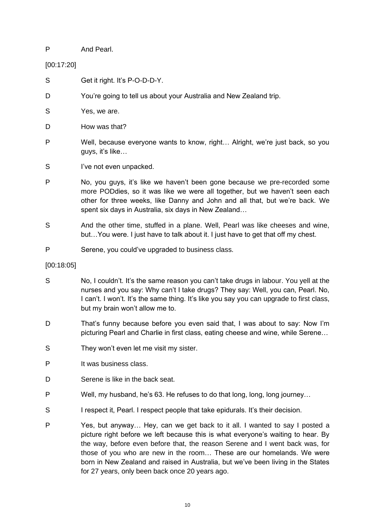## P And Pearl.

S Get it right. It's P-O-D-D-Y.

[00:17:20]

- D You're going to tell us about your Australia and New Zealand trip. S Yes, we are. D How was that? P Well, because everyone wants to know, right… Alright, we're just back, so you guys, it's like… S I've not even unpacked. P No, you guys, it's like we haven't been gone because we pre-recorded some more PODdies, so it was like we were all together, but we haven't seen each other for three weeks, like Danny and John and all that, but we're back. We
- spent six days in Australia, six days in New Zealand… S And the other time, stuffed in a plane. Well, Pearl was like cheeses and wine, but…You were. I just have to talk about it. I just have to get that off my chest.
- P Serene, you could've upgraded to business class.
- [00:18:05]
- S No, I couldn't. It's the same reason you can't take drugs in labour. You yell at the nurses and you say: Why can't I take drugs? They say: Well, you can, Pearl. No, I can't. I won't. It's the same thing. It's like you say you can upgrade to first class, but my brain won't allow me to.
- D That's funny because before you even said that, I was about to say: Now I'm picturing Pearl and Charlie in first class, eating cheese and wine, while Serene…
- S They won't even let me visit my sister.
- P It was business class.
- D Serene is like in the back seat.
- P Well, my husband, he's 63. He refuses to do that long, long, long journey…
- S I respect it, Pearl. I respect people that take epidurals. It's their decision.
- P Yes, but anyway… Hey, can we get back to it all. I wanted to say I posted a picture right before we left because this is what everyone's waiting to hear. By the way, before even before that, the reason Serene and I went back was, for those of you who are new in the room… These are our homelands. We were born in New Zealand and raised in Australia, but we've been living in the States for 27 years, only been back once 20 years ago.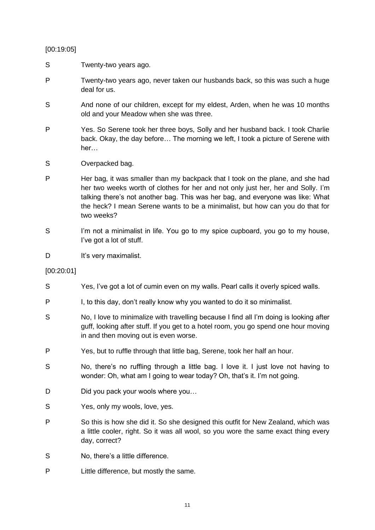[00:19:05]

- S Twenty-two years ago.
- P Twenty-two years ago, never taken our husbands back, so this was such a huge deal for us.
- S And none of our children, except for my eldest, Arden, when he was 10 months old and your Meadow when she was three.
- P Yes. So Serene took her three boys, Solly and her husband back. I took Charlie back. Okay, the day before… The morning we left, I took a picture of Serene with her…
- S Overpacked bag.
- P Her bag, it was smaller than my backpack that I took on the plane, and she had her two weeks worth of clothes for her and not only just her, her and Solly. I'm talking there's not another bag. This was her bag, and everyone was like: What the heck? I mean Serene wants to be a minimalist, but how can you do that for two weeks?
- S I'm not a minimalist in life. You go to my spice cupboard, you go to my house, I've got a lot of stuff.
- D It's very maximalist.
- [00:20:01]
- S Yes, I've got a lot of cumin even on my walls. Pearl calls it overly spiced walls.
- P I, to this day, don't really know why you wanted to do it so minimalist.
- S No, I love to minimalize with travelling because I find all I'm doing is looking after guff, looking after stuff. If you get to a hotel room, you go spend one hour moving in and then moving out is even worse.
- P Yes, but to ruffle through that little bag, Serene, took her half an hour.
- S No, there's no ruffling through a little bag. I love it. I just love not having to wonder: Oh, what am I going to wear today? Oh, that's it. I'm not going.
- D Did you pack your wools where you...
- S Yes, only my wools, love, yes.
- P So this is how she did it. So she designed this outfit for New Zealand, which was a little cooler, right. So it was all wool, so you wore the same exact thing every day, correct?
- S No, there's a little difference.
- P Little difference, but mostly the same.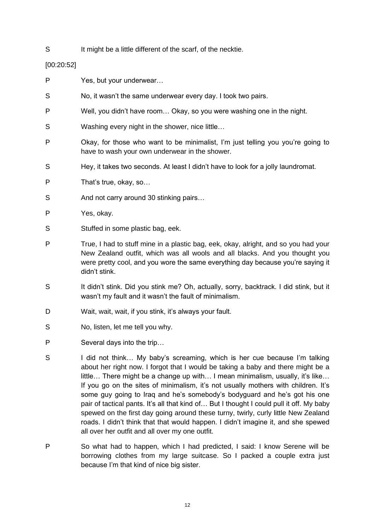S It might be a little different of the scarf, of the necktie.

[00:20:52]

- P Yes, but your underwear…
- S No, it wasn't the same underwear every day. I took two pairs.
- P Well, you didn't have room… Okay, so you were washing one in the night.
- S Washing every night in the shower, nice little…
- P Okay, for those who want to be minimalist, I'm just telling you you're going to have to wash your own underwear in the shower.
- S Hey, it takes two seconds. At least I didn't have to look for a jolly laundromat.
- P That's true, okay, so...
- S And not carry around 30 stinking pairs...
- P Yes, okay.
- S Stuffed in some plastic bag, eek.
- P True, I had to stuff mine in a plastic bag, eek, okay, alright, and so you had your New Zealand outfit, which was all wools and all blacks. And you thought you were pretty cool, and you wore the same everything day because you're saying it didn't stink.
- S It didn't stink. Did you stink me? Oh, actually, sorry, backtrack. I did stink, but it wasn't my fault and it wasn't the fault of minimalism.
- D Wait, wait, wait, if you stink, it's always your fault.
- S No, listen, let me tell you why.
- P Several days into the trip…
- S I did not think... My baby's screaming, which is her cue because I'm talking about her right now. I forgot that I would be taking a baby and there might be a little… There might be a change up with… I mean minimalism, usually, it's like… If you go on the sites of minimalism, it's not usually mothers with children. It's some guy going to Iraq and he's somebody's bodyguard and he's got his one pair of tactical pants. It's all that kind of… But I thought I could pull it off. My baby spewed on the first day going around these turny, twirly, curly little New Zealand roads. I didn't think that that would happen. I didn't imagine it, and she spewed all over her outfit and all over my one outfit.
- P So what had to happen, which I had predicted, I said: I know Serene will be borrowing clothes from my large suitcase. So I packed a couple extra just because I'm that kind of nice big sister.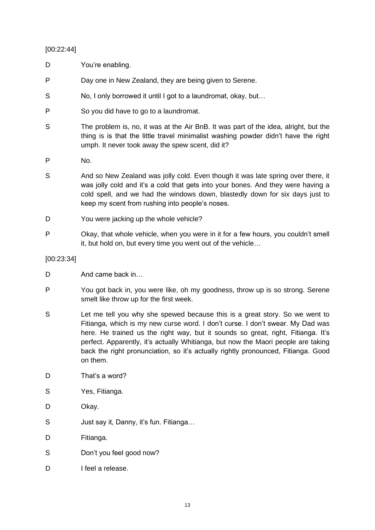# [00:22:44]

- D You're enabling.
- P Day one in New Zealand, they are being given to Serene.
- S No, I only borrowed it until I got to a laundromat, okay, but...
- P So you did have to go to a laundromat.
- S The problem is, no, it was at the Air BnB. It was part of the idea, alright, but the thing is is that the little travel minimalist washing powder didn't have the right umph. It never took away the spew scent, did it?
- P No.
- S And so New Zealand was jolly cold. Even though it was late spring over there, it was jolly cold and it's a cold that gets into your bones. And they were having a cold spell, and we had the windows down, blastedly down for six days just to keep my scent from rushing into people's noses.
- D You were jacking up the whole vehicle?
- P Okay, that whole vehicle, when you were in it for a few hours, you couldn't smell it, but hold on, but every time you went out of the vehicle…

## [00:23:34]

- D And came back in…
- P You got back in, you were like, oh my goodness, throw up is so strong. Serene smelt like throw up for the first week.
- S Let me tell you why she spewed because this is a great story. So we went to Fitianga, which is my new curse word. I don't curse. I don't swear. My Dad was here. He trained us the right way, but it sounds so great, right, Fitianga. It's perfect. Apparently, it's actually Whitianga, but now the Maori people are taking back the right pronunciation, so it's actually rightly pronounced, Fitianga. Good on them.
- D That's a word?
- S Yes, Fitianga.
- D Okay.
- S Just say it, Danny, it's fun. Fitianga…
- D Fitianga.
- S Don't you feel good now?
- D I feel a release.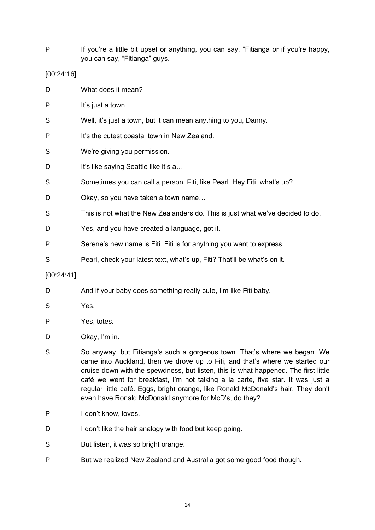P If you're a little bit upset or anything, you can say, "Fitianga or if you're happy, you can say, "Fitianga" guys.

## [00:24:16]

| D          | What does it mean?                                                             |
|------------|--------------------------------------------------------------------------------|
| P          | It's just a town.                                                              |
| S          | Well, it's just a town, but it can mean anything to you, Danny.                |
| P          | It's the cutest coastal town in New Zealand.                                   |
| S          | We're giving you permission.                                                   |
| D          | It's like saying Seattle like it's a                                           |
| S          | Sometimes you can call a person, Fiti, like Pearl. Hey Fiti, what's up?        |
| D          | Okay, so you have taken a town name                                            |
| S          | This is not what the New Zealanders do. This is just what we've decided to do. |
| D          | Yes, and you have created a language, got it.                                  |
| P          | Serene's new name is Fiti. Fiti is for anything you want to express.           |
| S          | Pearl, check your latest text, what's up, Fiti? That'll be what's on it.       |
| [00:24:41] |                                                                                |

- D And if your baby does something really cute, I'm like Fiti baby.
- S Yes.
- P Yes, totes.
- D Okay, I'm in.
- S So anyway, but Fitianga's such a gorgeous town. That's where we began. We came into Auckland, then we drove up to Fiti, and that's where we started our cruise down with the spewdness, but listen, this is what happened. The first little café we went for breakfast, I'm not talking a la carte, five star. It was just a regular little café. Eggs, bright orange, like Ronald McDonald's hair. They don't even have Ronald McDonald anymore for McD's, do they?
- P I don't know, loves.
- D I don't like the hair analogy with food but keep going.
- S But listen, it was so bright orange.
- P But we realized New Zealand and Australia got some good food though.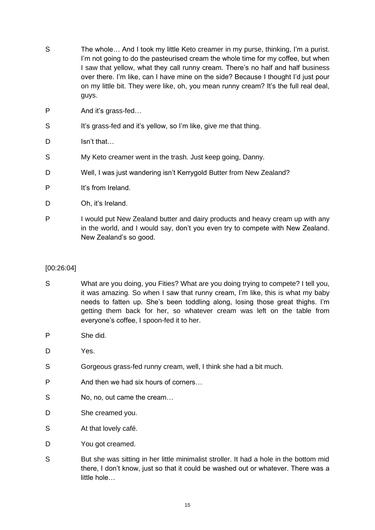- S The whole... And I took my little Keto creamer in my purse, thinking, I'm a purist. I'm not going to do the pasteurised cream the whole time for my coffee, but when I saw that yellow, what they call runny cream. There's no half and half business over there. I'm like, can I have mine on the side? Because I thought I'd just pour on my little bit. They were like, oh, you mean runny cream? It's the full real deal, guys.
- P And it's grass-fed…
- S It's grass-fed and it's yellow, so I'm like, give me that thing.
- D Isn't that…
- S My Keto creamer went in the trash. Just keep going, Danny.
- D Well, I was just wandering isn't Kerrygold Butter from New Zealand?
- P It's from Ireland.
- D Oh, it's Ireland.
- P I would put New Zealand butter and dairy products and heavy cream up with any in the world, and I would say, don't you even try to compete with New Zealand. New Zealand's so good.

# [00:26:04]

- S What are you doing, you Fities? What are you doing trying to compete? I tell you, it was amazing. So when I saw that runny cream, I'm like, this is what my baby needs to fatten up. She's been toddling along, losing those great thighs. I'm getting them back for her, so whatever cream was left on the table from everyone's coffee, I spoon-fed it to her.
- P She did.
- D Yes.
- S Gorgeous grass-fed runny cream, well, I think she had a bit much.
- P And then we had six hours of corners…
- S No, no, out came the cream...
- D She creamed you.
- S At that lovely café.
- D You got creamed.
- S But she was sitting in her little minimalist stroller. It had a hole in the bottom mid there, I don't know, just so that it could be washed out or whatever. There was a little hole…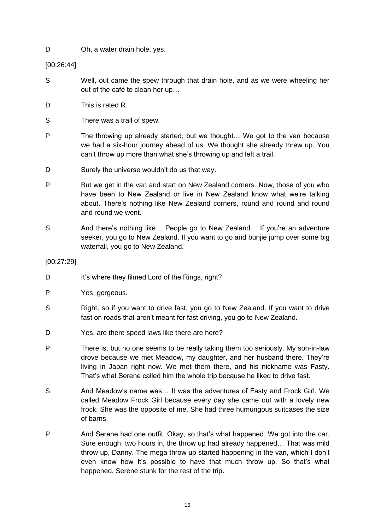D Oh, a water drain hole, yes.

[00:26:44]

- S Well, out came the spew through that drain hole, and as we were wheeling her out of the café to clean her up…
- D This is rated R.
- S There was a trail of spew.
- P The throwing up already started, but we thought… We got to the van because we had a six-hour journey ahead of us. We thought she already threw up. You can't throw up more than what she's throwing up and left a trail.
- D Surely the universe wouldn't do us that way.
- P But we get in the van and start on New Zealand corners. Now, those of you who have been to New Zealand or live in New Zealand know what we're talking about. There's nothing like New Zealand corners, round and round and round and round we went.
- S And there's nothing like... People go to New Zealand... If you're an adventure seeker, you go to New Zealand. If you want to go and bunjie jump over some big waterfall, you go to New Zealand.

## [00:27:29]

- D It's where they filmed Lord of the Rings, right?
- P Yes, gorgeous.
- S Right, so if you want to drive fast, you go to New Zealand. If you want to drive fast on roads that aren't meant for fast driving, you go to New Zealand.
- D Yes, are there speed laws like there are here?
- P There is, but no one seems to be really taking them too seriously. My son-in-law drove because we met Meadow, my daughter, and her husband there. They're living in Japan right now. We met them there, and his nickname was Fasty. That's what Serene called him the whole trip because he liked to drive fast.
- S And Meadow's name was... It was the adventures of Fasty and Frock Girl. We called Meadow Frock Girl because every day she came out with a lovely new frock. She was the opposite of me. She had three humungous suitcases the size of barns.
- P And Serene had one outfit. Okay, so that's what happened. We got into the car. Sure enough, two hours in, the throw up had already happened… That was mild throw up, Danny. The mega throw up started happening in the van, which I don't even know how it's possible to have that much throw up. So that's what happened. Serene stunk for the rest of the trip.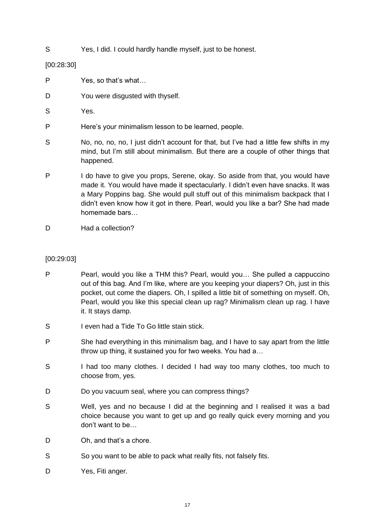S Yes, I did. I could hardly handle myself, just to be honest.

[00:28:30]

- P Yes, so that's what…
- D You were disquated with thyself.
- S Yes.
- P Here's your minimalism lesson to be learned, people.
- S No, no, no, no, I just didn't account for that, but I've had a little few shifts in my mind, but I'm still about minimalism. But there are a couple of other things that happened.
- P I do have to give you props, Serene, okay. So aside from that, you would have made it. You would have made it spectacularly. I didn't even have snacks. It was a Mary Poppins bag. She would pull stuff out of this minimalism backpack that I didn't even know how it got in there. Pearl, would you like a bar? She had made homemade bars…
- D Had a collection?

# [00:29:03]

- P Pearl, would you like a THM this? Pearl, would you... She pulled a cappuccino out of this bag. And I'm like, where are you keeping your diapers? Oh, just in this pocket, out come the diapers. Oh, I spilled a little bit of something on myself. Oh, Pearl, would you like this special clean up rag? Minimalism clean up rag. I have it. It stays damp.
- S I even had a Tide To Go little stain stick.
- P She had everything in this minimalism bag, and I have to say apart from the little throw up thing, it sustained you for two weeks. You had a…
- S I had too many clothes. I decided I had way too many clothes, too much to choose from, yes.
- D Do you vacuum seal, where you can compress things?
- S Well, yes and no because I did at the beginning and I realised it was a bad choice because you want to get up and go really quick every morning and you don't want to be…
- D Oh, and that's a chore.
- S So you want to be able to pack what really fits, not falsely fits.
- D Yes, Fiti anger.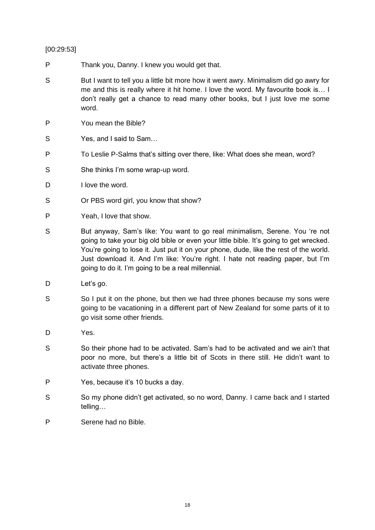# [00:29:53]

- P Thank you, Danny. I knew you would get that.
- S But I want to tell you a little bit more how it went awry. Minimalism did go awry for me and this is really where it hit home. I love the word. My favourite book is… I don't really get a chance to read many other books, but I just love me some word.
- P You mean the Bible?
- S Yes, and I said to Sam...
- P To Leslie P-Salms that's sitting over there, like: What does she mean, word?
- S She thinks I'm some wrap-up word.
- D I love the word.
- S Or PBS word girl, you know that show?
- P Yeah, I love that show.
- S But anyway, Sam's like: You want to go real minimalism, Serene. You 're not going to take your big old bible or even your little bible. It's going to get wrecked. You're going to lose it. Just put it on your phone, dude, like the rest of the world. Just download it. And I'm like: You're right. I hate not reading paper, but I'm going to do it. I'm going to be a real millennial.
- D Let's go.
- S So I put it on the phone, but then we had three phones because my sons were going to be vacationing in a different part of New Zealand for some parts of it to go visit some other friends.
- D Yes.
- S So their phone had to be activated. Sam's had to be activated and we ain't that poor no more, but there's a little bit of Scots in there still. He didn't want to activate three phones.
- P Yes, because it's 10 bucks a day.
- S So my phone didn't get activated, so no word, Danny. I came back and I started telling…
- P Serene had no Bible.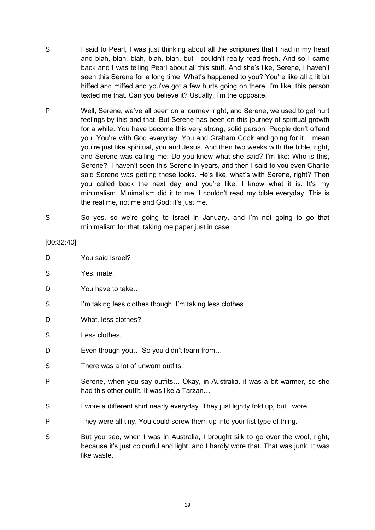- S I said to Pearl, I was just thinking about all the scriptures that I had in my heart and blah, blah, blah, blah, blah, but I couldn't really read fresh. And so I came back and I was telling Pearl about all this stuff. And she's like, Serene, I haven't seen this Serene for a long time. What's happened to you? You're like all a lit bit hiffed and miffed and you've got a few hurts going on there. I'm like, this person texted me that. Can you believe it? Usually, I'm the opposite.
- P Well, Serene, we've all been on a journey, right, and Serene, we used to get hurt feelings by this and that. But Serene has been on this journey of spiritual growth for a while. You have become this very strong, solid person. People don't offend you. You're with God everyday. You and Graham Cook and going for it. I mean you're just like spiritual, you and Jesus. And then two weeks with the bible, right, and Serene was calling me: Do you know what she said? I'm like: Who is this, Serene? I haven't seen this Serene in years, and then I said to you even Charlie said Serene was getting these looks. He's like, what's with Serene, right? Then you called back the next day and you're like, I know what it is. It's my minimalism. Minimalism did it to me. I couldn't read my bible everyday. This is the real me, not me and God; it's just me.
- S So yes, so we're going to Israel in January, and I'm not going to go that minimalism for that, taking me paper just in case.

## [00:32:40]

- D You said Israel?
- S Yes, mate.
- D You have to take
- S I'm taking less clothes though. I'm taking less clothes.
- D What, less clothes?
- S Less clothes.
- D Even though you... So you didn't learn from...
- S There was a lot of unworn outfits.
- P Serene, when you say outfits… Okay, in Australia, it was a bit warmer, so she had this other outfit. It was like a Tarzan…
- S I wore a different shirt nearly everyday. They just lightly fold up, but I wore...
- P They were all tiny. You could screw them up into your fist type of thing.
- S But you see, when I was in Australia, I brought silk to go over the wool, right, because it's just colourful and light, and I hardly wore that. That was junk. It was like waste.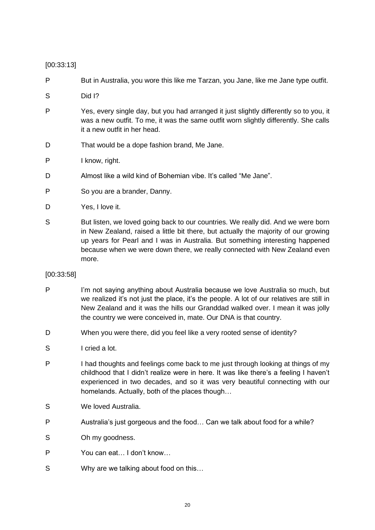[00:33:13]

P But in Australia, you wore this like me Tarzan, you Jane, like me Jane type outfit.

- S Did I?
- P Yes, every single day, but you had arranged it just slightly differently so to you, it was a new outfit. To me, it was the same outfit worn slightly differently. She calls it a new outfit in her head.
- D That would be a dope fashion brand, Me Jane.
- P I know, right.
- D Almost like a wild kind of Bohemian vibe. It's called "Me Jane".
- P So you are a brander, Danny.
- D Yes, I love it.
- S But listen, we loved going back to our countries. We really did. And we were born in New Zealand, raised a little bit there, but actually the majority of our growing up years for Pearl and I was in Australia. But something interesting happened because when we were down there, we really connected with New Zealand even more.

[00:33:58]

- P I'm not saying anything about Australia because we love Australia so much, but we realized it's not just the place, it's the people. A lot of our relatives are still in New Zealand and it was the hills our Granddad walked over. I mean it was jolly the country we were conceived in, mate. Our DNA is that country.
- D When you were there, did you feel like a very rooted sense of identity?
- S I cried a lot.
- P I had thoughts and feelings come back to me just through looking at things of my childhood that I didn't realize were in here. It was like there's a feeling I haven't experienced in two decades, and so it was very beautiful connecting with our homelands. Actually, both of the places though…
- S We loved Australia.
- P Australia's just gorgeous and the food… Can we talk about food for a while?
- S Oh my goodness.
- P You can eat… I don't know…
- S Why are we talking about food on this...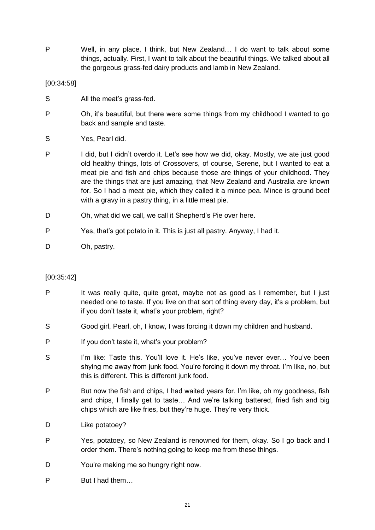P Well, in any place, I think, but New Zealand… I do want to talk about some things, actually. First, I want to talk about the beautiful things. We talked about all the gorgeous grass-fed dairy products and lamb in New Zealand.

## [00:34:58]

- S All the meat's grass-fed.
- P Oh, it's beautiful, but there were some things from my childhood I wanted to go back and sample and taste.
- S Yes, Pearl did.
- P I did, but I didn't overdo it. Let's see how we did, okay. Mostly, we ate just good old healthy things, lots of Crossovers, of course, Serene, but I wanted to eat a meat pie and fish and chips because those are things of your childhood. They are the things that are just amazing, that New Zealand and Australia are known for. So I had a meat pie, which they called it a mince pea. Mince is ground beef with a gravy in a pastry thing, in a little meat pie.
- D Oh, what did we call, we call it Shepherd's Pie over here.
- P Yes, that's got potato in it. This is just all pastry. Anyway, I had it.
- D Oh, pastry.

# [00:35:42]

- P It was really quite, quite great, maybe not as good as I remember, but I just needed one to taste. If you live on that sort of thing every day, it's a problem, but if you don't taste it, what's your problem, right?
- S Good girl, Pearl, oh, I know, I was forcing it down my children and husband.
- P If you don't taste it, what's your problem?
- S I'm like: Taste this. You'll love it. He's like, you've never ever... You've been shying me away from junk food. You're forcing it down my throat. I'm like, no, but this is different. This is different junk food.
- P But now the fish and chips, I had waited years for. I'm like, oh my goodness, fish and chips, I finally get to taste… And we're talking battered, fried fish and big chips which are like fries, but they're huge. They're very thick.
- D Like potatoey?
- P Yes, potatoey, so New Zealand is renowned for them, okay. So I go back and I order them. There's nothing going to keep me from these things.
- D You're making me so hungry right now.
- P But I had them…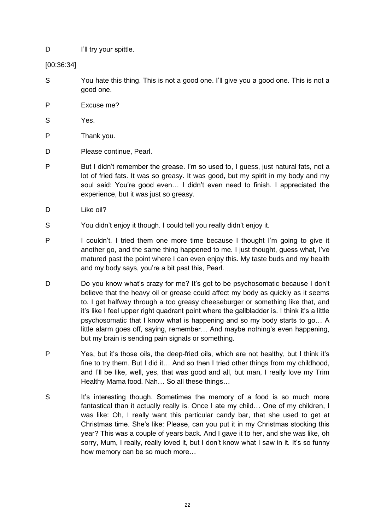D **I'll try your spittle.** 

[00:36:34]

- S You hate this thing. This is not a good one. I'll give you a good one. This is not a good one.
- P Excuse me?
- S Yes.
- P Thank you.
- D Please continue, Pearl.
- P But I didn't remember the grease. I'm so used to, I guess, just natural fats, not a lot of fried fats. It was so greasy. It was good, but my spirit in my body and my soul said: You're good even… I didn't even need to finish. I appreciated the experience, but it was just so greasy.
- D Like oil?
- S You didn't enjoy it though. I could tell you really didn't enjoy it.
- P I couldn't. I tried them one more time because I thought I'm going to give it another go, and the same thing happened to me. I just thought, guess what, I've matured past the point where I can even enjoy this. My taste buds and my health and my body says, you're a bit past this, Pearl.
- D Do you know what's crazy for me? It's got to be psychosomatic because I don't believe that the heavy oil or grease could affect my body as quickly as it seems to. I get halfway through a too greasy cheeseburger or something like that, and it's like I feel upper right quadrant point where the gallbladder is. I think it's a little psychosomatic that I know what is happening and so my body starts to go… A little alarm goes off, saying, remember… And maybe nothing's even happening, but my brain is sending pain signals or something.
- P Yes, but it's those oils, the deep-fried oils, which are not healthy, but I think it's fine to try them. But I did it… And so then I tried other things from my childhood, and I'll be like, well, yes, that was good and all, but man, I really love my Trim Healthy Mama food. Nah… So all these things…
- S It's interesting though. Sometimes the memory of a food is so much more fantastical than it actually really is. Once I ate my child… One of my children, I was like: Oh, I really want this particular candy bar, that she used to get at Christmas time. She's like: Please, can you put it in my Christmas stocking this year? This was a couple of years back. And I gave it to her, and she was like, oh sorry, Mum, I really, really loved it, but I don't know what I saw in it. It's so funny how memory can be so much more…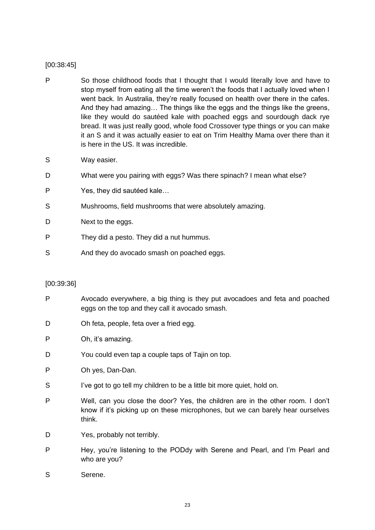## [00:38:45]

- P So those childhood foods that I thought that I would literally love and have to stop myself from eating all the time weren't the foods that I actually loved when I went back. In Australia, they're really focused on health over there in the cafes. And they had amazing… The things like the eggs and the things like the greens, like they would do sautéed kale with poached eggs and sourdough dack rye bread. It was just really good, whole food Crossover type things or you can make it an S and it was actually easier to eat on Trim Healthy Mama over there than it is here in the US. It was incredible.
- S Way easier.
- D What were you pairing with eggs? Was there spinach? I mean what else?
- P Yes, they did sautéed kale…
- S Mushrooms, field mushrooms that were absolutely amazing.
- D Next to the eggs.
- P They did a pesto. They did a nut hummus.
- S And they do avocado smash on poached eggs.

## [00:39:36]

- P Avocado everywhere, a big thing is they put avocadoes and feta and poached eggs on the top and they call it avocado smash.
- D Oh feta, people, feta over a fried egg.
- P Oh, it's amazing.
- D You could even tap a couple taps of Tajin on top.
- P Oh yes, Dan-Dan.
- S I've got to go tell my children to be a little bit more quiet, hold on.
- P Well, can you close the door? Yes, the children are in the other room. I don't know if it's picking up on these microphones, but we can barely hear ourselves think.
- D Yes, probably not terribly.
- P Hey, you're listening to the PODdy with Serene and Pearl, and I'm Pearl and who are you?
- S Serene.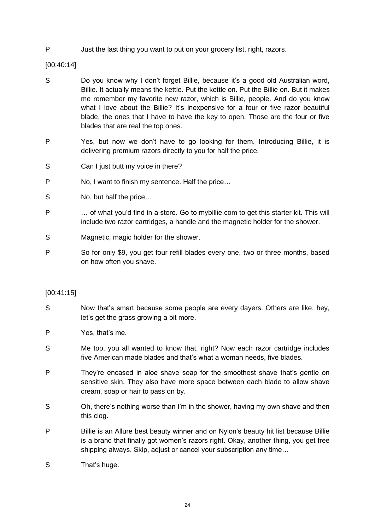P Just the last thing you want to put on your grocery list, right, razors.

[00:40:14]

- S Do you know why I don't forget Billie, because it's a good old Australian word, Billie. It actually means the kettle. Put the kettle on. Put the Billie on. But it makes me remember my favorite new razor, which is Billie, people. And do you know what I love about the Billie? It's inexpensive for a four or five razor beautiful blade, the ones that I have to have the key to open. Those are the four or five blades that are real the top ones.
- P Yes, but now we don't have to go looking for them. Introducing Billie, it is delivering premium razors directly to you for half the price.
- S Can I just butt my voice in there?
- P No, I want to finish my sentence. Half the price…
- S No, but half the price...
- P … of what you'd find in a store. Go to mybillie.com to get this starter kit. This will include two razor cartridges, a handle and the magnetic holder for the shower.
- S Magnetic, magic holder for the shower.
- P So for only \$9, you get four refill blades every one, two or three months, based on how often you shave.

## [00:41:15]

- S Now that's smart because some people are every dayers. Others are like, hey, let's get the grass growing a bit more.
- P Yes, that's me.
- S Me too, you all wanted to know that, right? Now each razor cartridge includes five American made blades and that's what a woman needs, five blades.
- P They're encased in aloe shave soap for the smoothest shave that's gentle on sensitive skin. They also have more space between each blade to allow shave cream, soap or hair to pass on by.
- S Oh, there's nothing worse than I'm in the shower, having my own shave and then this clog.
- P Billie is an Allure best beauty winner and on Nylon's beauty hit list because Billie is a brand that finally got women's razors right. Okay, another thing, you get free shipping always. Skip, adjust or cancel your subscription any time…
- S That's huge.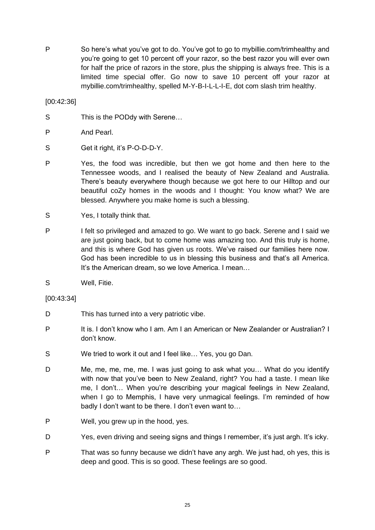P So here's what you've got to do. You've got to go to mybillie.com/trimhealthy and you're going to get 10 percent off your razor, so the best razor you will ever own for half the price of razors in the store, plus the shipping is always free. This is a limited time special offer. Go now to save 10 percent off your razor at mybillie.com/trimhealthy, spelled M-Y-B-I-L-L-I-E, dot com slash trim healthy.

[00:42:36]

S This is the PODdy with Serene...

- S Get it right, it's P-O-D-D-Y.
- P Yes, the food was incredible, but then we got home and then here to the Tennessee woods, and I realised the beauty of New Zealand and Australia. There's beauty everywhere though because we got here to our Hilltop and our beautiful coZy homes in the woods and I thought: You know what? We are blessed. Anywhere you make home is such a blessing.
- S Yes, I totally think that.
- P I felt so privileged and amazed to go. We want to go back. Serene and I said we are just going back, but to come home was amazing too. And this truly is home, and this is where God has given us roots. We've raised our families here now. God has been incredible to us in blessing this business and that's all America. It's the American dream, so we love America. I mean…
- S Well, Fitie.
- [00:43:34]
- D This has turned into a very patriotic vibe.
- P It is. I don't know who I am. Am I an American or New Zealander or Australian? I don't know.
- S We tried to work it out and I feel like… Yes, you go Dan.
- D Me, me, me, me, me. I was just going to ask what you… What do you identify with now that you've been to New Zealand, right? You had a taste. I mean like me, I don't… When you're describing your magical feelings in New Zealand, when I go to Memphis, I have very unmagical feelings. I'm reminded of how badly I don't want to be there. I don't even want to…
- P Well, you grew up in the hood, yes.
- D Yes, even driving and seeing signs and things I remember, it's just argh. It's icky.
- P That was so funny because we didn't have any argh. We just had, oh yes, this is deep and good. This is so good. These feelings are so good.

P And Pearl.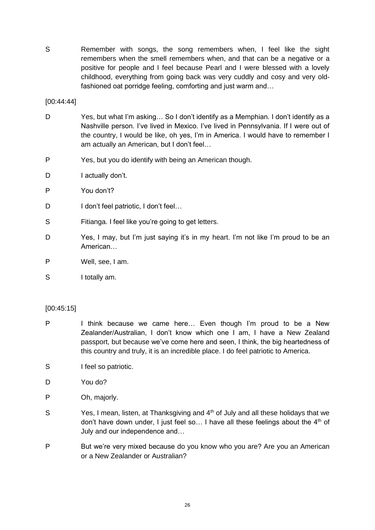S Remember with songs, the song remembers when, I feel like the sight remembers when the smell remembers when, and that can be a negative or a positive for people and I feel because Pearl and I were blessed with a lovely childhood, everything from going back was very cuddly and cosy and very oldfashioned oat porridge feeling, comforting and just warm and…

[00:44:44]

- D Yes, but what I'm asking… So I don't identify as a Memphian. I don't identify as a Nashville person. I've lived in Mexico. I've lived in Pennsylvania. If I were out of the country, I would be like, oh yes, I'm in America. I would have to remember I am actually an American, but I don't feel…
- P Yes, but you do identify with being an American though.
- D I actually don't.
- P You don't?
- D I don't feel patriotic, I don't feel...
- S Fitianga. I feel like you're going to get letters.
- D Yes, I may, but I'm just saying it's in my heart. I'm not like I'm proud to be an American…
- P Well, see, I am.
- S I totally am.

## [00:45:15]

- P I think because we came here... Even though I'm proud to be a New Zealander/Australian, I don't know which one I am, I have a New Zealand passport, but because we've come here and seen, I think, the big heartedness of this country and truly, it is an incredible place. I do feel patriotic to America.
- S I feel so patriotic.
- D You do?
- P Oh, majorly,
- S  $Yes$ , I mean, listen, at Thanksgiving and  $4<sup>th</sup>$  of July and all these holidays that we don't have down under, I just feel so... I have all these feelings about the  $4<sup>th</sup>$  of July and our independence and…
- P But we're very mixed because do you know who you are? Are you an American or a New Zealander or Australian?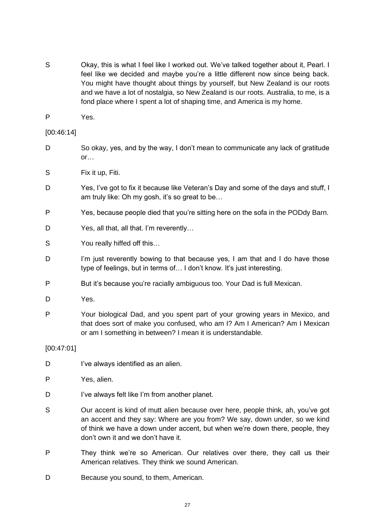- S Okay, this is what I feel like I worked out. We've talked together about it, Pearl. I feel like we decided and maybe you're a little different now since being back. You might have thought about things by yourself, but New Zealand is our roots and we have a lot of nostalgia, so New Zealand is our roots. Australia, to me, is a fond place where I spent a lot of shaping time, and America is my home.
- P Yes.

## [00:46:14]

- D So okay, yes, and by the way, I don't mean to communicate any lack of gratitude or…
- S Fix it up, Fiti.
- D Yes, I've got to fix it because like Veteran's Day and some of the days and stuff, I am truly like: Oh my gosh, it's so great to be…
- P Yes, because people died that you're sitting here on the sofa in the PODdy Barn.
- D Yes, all that, all that. I'm reverently...
- S You really hiffed off this...
- D I'm just reverently bowing to that because yes, I am that and I do have those type of feelings, but in terms of… I don't know. It's just interesting.
- P But it's because you're racially ambiguous too. Your Dad is full Mexican.
- D Yes.
- P Your biological Dad, and you spent part of your growing years in Mexico, and that does sort of make you confused, who am I? Am I American? Am I Mexican or am I something in between? I mean it is understandable.

[00:47:01]

- D I've always identified as an alien.
- P Yes, alien.
- D I've always felt like I'm from another planet.
- S Our accent is kind of mutt alien because over here, people think, ah, you've got an accent and they say: Where are you from? We say, down under, so we kind of think we have a down under accent, but when we're down there, people, they don't own it and we don't have it.
- P They think we're so American. Our relatives over there, they call us their American relatives. They think we sound American.
- D Because you sound, to them, American.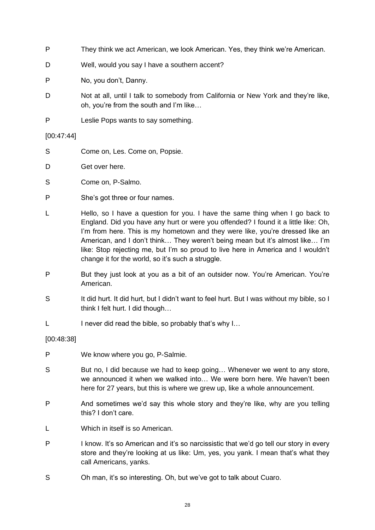- P They think we act American, we look American. Yes, they think we're American.
- D Well, would you say I have a southern accent?
- P No, you don't, Danny.
- D Not at all, until I talk to somebody from California or New York and they're like, oh, you're from the south and I'm like…
- P Leslie Pops wants to say something.

[00:47:44]

- S Come on, Les. Come on, Popsie.
- D Get over here.
- S Come on, P-Salmo.
- P She's got three or four names.
- L Hello, so I have a question for you. I have the same thing when I go back to England. Did you have any hurt or were you offended? I found it a little like: Oh, I'm from here. This is my hometown and they were like, you're dressed like an American, and I don't think… They weren't being mean but it's almost like… I'm like: Stop rejecting me, but I'm so proud to live here in America and I wouldn't change it for the world, so it's such a struggle.
- P But they just look at you as a bit of an outsider now. You're American. You're American.
- S It did hurt. It did hurt, but I didn't want to feel hurt. But I was without my bible, so I think I felt hurt. I did though…
- L I never did read the bible, so probably that's why I...

[00:48:38]

- P We know where you go, P-Salmie.
- S But no, I did because we had to keep going... Whenever we went to any store, we announced it when we walked into… We were born here. We haven't been here for 27 years, but this is where we grew up, like a whole announcement.
- P And sometimes we'd say this whole story and they're like, why are you telling this? I don't care.
- L Which in itself is so American.
- P I know. It's so American and it's so narcissistic that we'd go tell our story in every store and they're looking at us like: Um, yes, you yank. I mean that's what they call Americans, yanks.
- S Oh man, it's so interesting. Oh, but we've got to talk about Cuaro.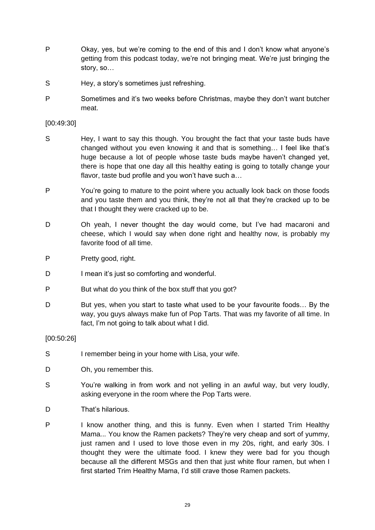- P Okay, yes, but we're coming to the end of this and I don't know what anyone's getting from this podcast today, we're not bringing meat. We're just bringing the story, so…
- S Hey, a story's sometimes just refreshing.
- P Sometimes and it's two weeks before Christmas, maybe they don't want butcher meat.

## [00:49:30]

- S Hey, I want to say this though. You brought the fact that your taste buds have changed without you even knowing it and that is something… I feel like that's huge because a lot of people whose taste buds maybe haven't changed yet, there is hope that one day all this healthy eating is going to totally change your flavor, taste bud profile and you won't have such a…
- P You're going to mature to the point where you actually look back on those foods and you taste them and you think, they're not all that they're cracked up to be that I thought they were cracked up to be.
- D Oh yeah, I never thought the day would come, but I've had macaroni and cheese, which I would say when done right and healthy now, is probably my favorite food of all time.
- P Pretty good, right.
- D I mean it's just so comforting and wonderful.
- P But what do you think of the box stuff that you got?
- D But yes, when you start to taste what used to be your favourite foods... By the way, you guys always make fun of Pop Tarts. That was my favorite of all time. In fact, I'm not going to talk about what I did.

## [00:50:26]

- S I remember being in your home with Lisa, your wife.
- D Oh, you remember this.
- S You're walking in from work and not yelling in an awful way, but very loudly, asking everyone in the room where the Pop Tarts were.
- D That's hilarious.
- P I know another thing, and this is funny. Even when I started Trim Healthy Mama... You know the Ramen packets? They're very cheap and sort of yummy, just ramen and I used to love those even in my 20s, right, and early 30s. I thought they were the ultimate food. I knew they were bad for you though because all the different MSGs and then that just white flour ramen, but when I first started Trim Healthy Mama, I'd still crave those Ramen packets.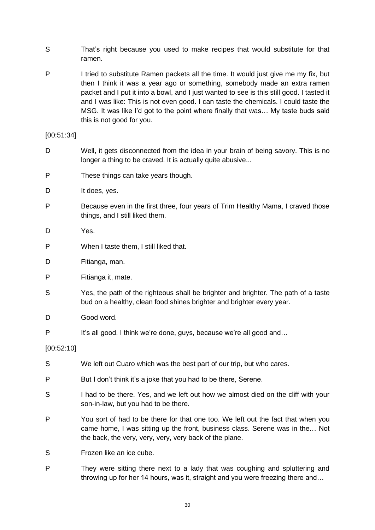- S That's right because you used to make recipes that would substitute for that ramen.
- P I tried to substitute Ramen packets all the time. It would just give me my fix, but then I think it was a year ago or something, somebody made an extra ramen packet and I put it into a bowl, and I just wanted to see is this still good. I tasted it and I was like: This is not even good. I can taste the chemicals. I could taste the MSG. It was like I'd got to the point where finally that was… My taste buds said this is not good for you.

[00:51:34]

- D Well, it gets disconnected from the idea in your brain of being savory. This is no longer a thing to be craved. It is actually quite abusive...
- P These things can take years though.
- D It does, yes.
- P Because even in the first three, four years of Trim Healthy Mama, I craved those things, and I still liked them.
- D Yes.
- P When I taste them, I still liked that.
- D Fitianga, man.
- P Fitianga it, mate.
- S Yes, the path of the righteous shall be brighter and brighter. The path of a taste bud on a healthy, clean food shines brighter and brighter every year.
- D Good word.
- P It's all good. I think we're done, guys, because we're all good and...

[00:52:10]

- S We left out Cuaro which was the best part of our trip, but who cares.
- P But I don't think it's a joke that you had to be there, Serene.
- S I had to be there. Yes, and we left out how we almost died on the cliff with your son-in-law, but you had to be there.
- P You sort of had to be there for that one too. We left out the fact that when you came home, I was sitting up the front, business class. Serene was in the… Not the back, the very, very, very, very back of the plane.
- S Frozen like an ice cube.
- P They were sitting there next to a lady that was coughing and spluttering and throwing up for her 14 hours, was it, straight and you were freezing there and…